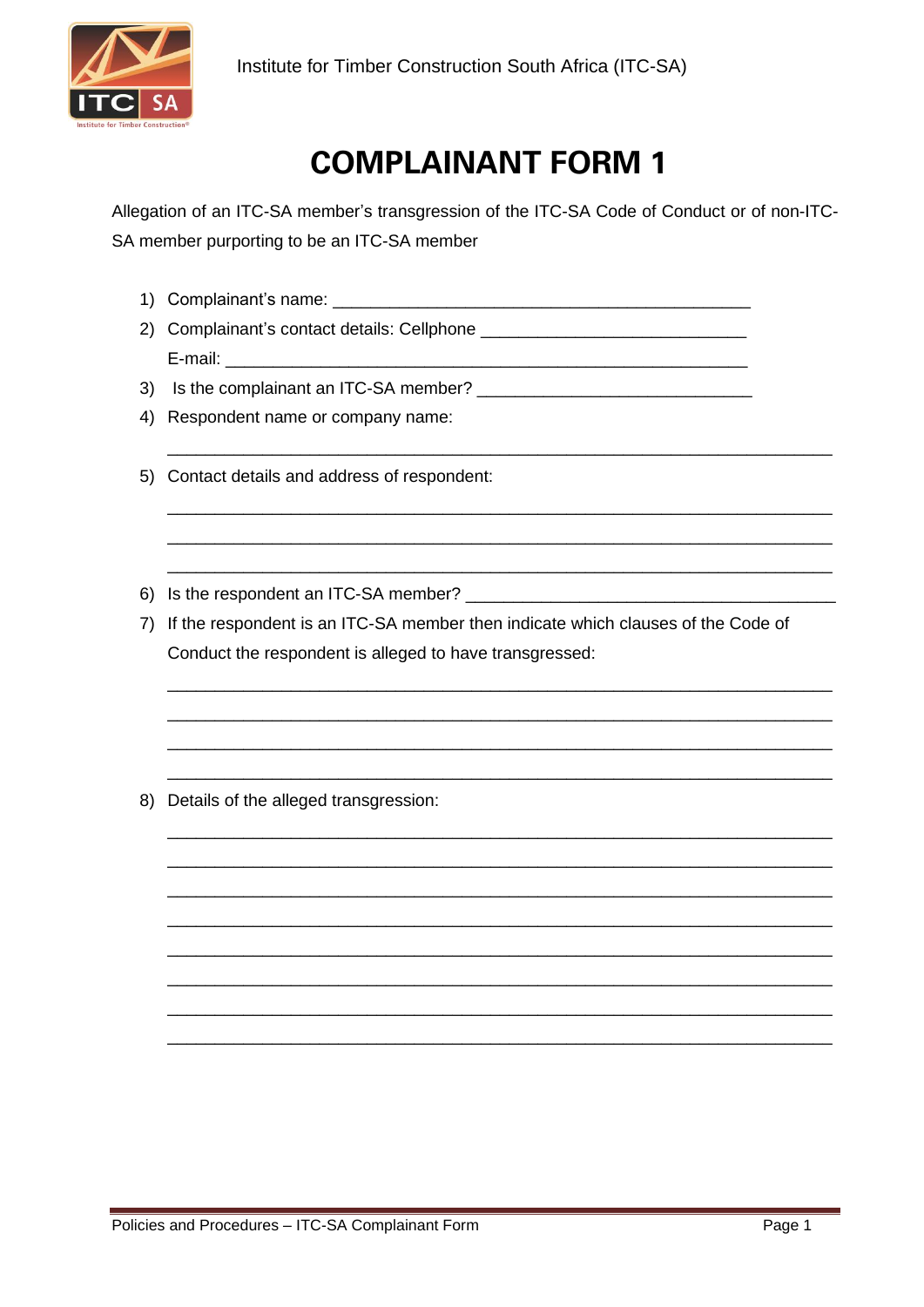

## **COMPLAINANT FORM 1**

Allegation of an ITC-SA member's transgression of the ITC-SA Code of Conduct or of non-ITC-SA member purporting to be an ITC-SA member

- 
- E-mail: E-mail: E-mail: E-mail: E-mail: E-mail: E-mail: E-mail: E-mail: E-mail: E-mail: E-mail: E-mail: E-mail: E-mail: E-mail: E-mail: E-mail: E-mail: E-mail: E-mail: E-mail: E-mail: E-mail: E-mail: E-mail: E-mail: E-mail
- 
- 4) Respondent name or company name:
- 5) Contact details and address of respondent:
- 6) Is the respondent an ITC-SA member? \_\_\_\_\_\_\_\_\_\_\_\_
- 7) If the respondent is an ITC-SA member then indicate which clauses of the Code of Conduct the respondent is alleged to have transgressed:
- 8) Details of the alleged transgression: